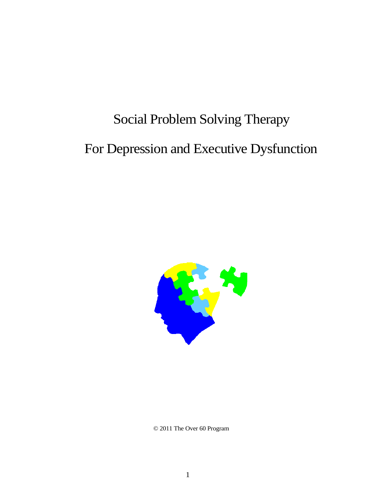# Social Problem Solving Therapy For Depression and Executive Dysfunction



© 2011 The Over 60 Program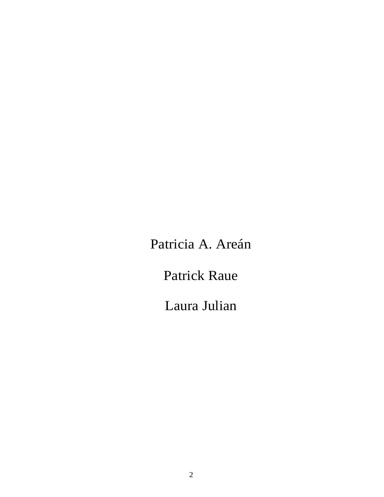Patricia A. Areán

Patrick Raue

Laura Julian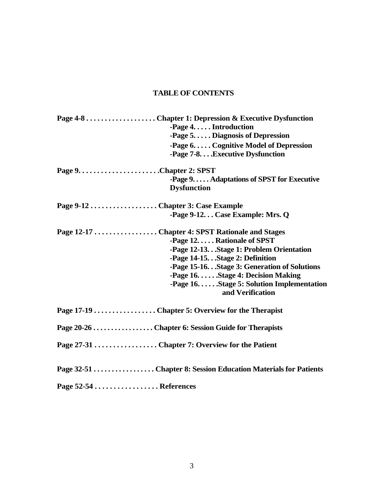# **TABLE OF CONTENTS**

|                        | $-Page 4. \ldots$ . Introduction                    |
|------------------------|-----------------------------------------------------|
|                        | -Page $5. \ldots$ . Diagnosis of Depression         |
|                        | -Page $6. \ldots$ . Cognitive Model of Depression   |
|                        | -Page 7-8 Executive Dysfunction                     |
|                        |                                                     |
|                        | -Page 9. Adaptations of SPST for Executive          |
|                        | <b>Dysfunction</b>                                  |
|                        |                                                     |
|                        | -Page 9-12 Case Example: Mrs. Q                     |
|                        | Page 12-17  Chapter 4: SPST Rationale and Stages    |
|                        | -Page 12. Rationale of SPST                         |
|                        | -Page 12-13.Stage 1: Problem Orientation            |
|                        | -Page 14-15.Stage 2: Definition                     |
|                        | -Page 15-16.Stage 3: Generation of Solutions        |
|                        | -Page $16. \ldots$ Stage 4: Decision Making         |
|                        | -Page $16. \ldots$ Stage 5: Solution Implementation |
|                        | and Verification                                    |
|                        |                                                     |
|                        |                                                     |
|                        |                                                     |
|                        |                                                     |
| Page 52-54  References |                                                     |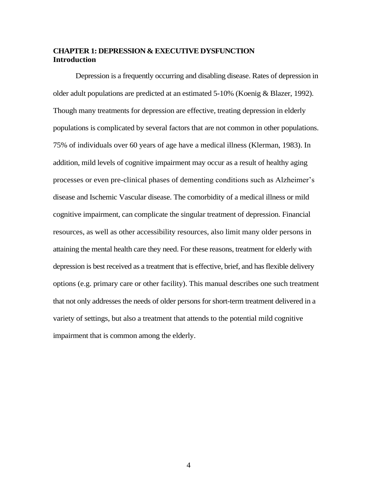#### **CHAPTER 1: DEPRESSION & EXECUTIVE DYSFUNCTION Introduction**

Depression is a frequently occurring and disabling disease. Rates of depression in older adult populations are predicted at an estimated 5-10% (Koenig & Blazer, 1992). Though many treatments for depression are effective, treating depression in elderly populations is complicated by several factors that are not common in other populations. 75% of individuals over 60 years of age have a medical illness (Klerman, 1983). In addition, mild levels of cognitive impairment may occur as a result of healthy aging processes or even pre-clinical phases of dementing conditions such as Alzheimer's disease and Ischemic Vascular disease. The comorbidity of a medical illness or mild cognitive impairment, can complicate the singular treatment of depression. Financial resources, as well as other accessibility resources, also limit many older persons in attaining the mental health care they need. For these reasons, treatment for elderly with depression is best received as a treatment that is effective, brief, and has flexible delivery options (e.g. primary care or other facility). This manual describes one such treatment that not only addresses the needs of older persons for short-term treatment delivered in a variety of settings, but also a treatment that attends to the potential mild cognitive impairment that is common among the elderly.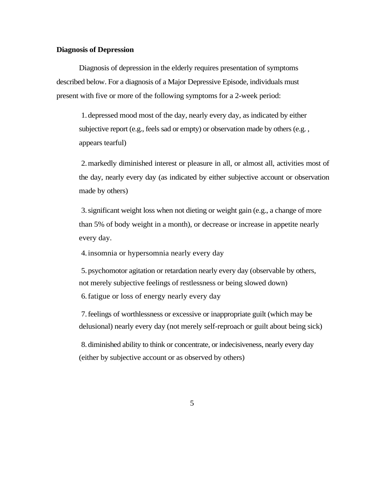#### **Diagnosis of Depression**

Diagnosis of depression in the elderly requires presentation of symptoms described below. For a diagnosis of a Major Depressive Episode, individuals must present with five or more of the following symptoms for a 2-week period:

1. depressed mood most of the day, nearly every day, as indicated by either subjective report (e.g., feels sad or empty) or observation made by others (e.g. , appears tearful)

2.markedly diminished interest or pleasure in all, or almost all, activities most of the day, nearly every day (as indicated by either subjective account or observation made by others)

3.significant weight loss when not dieting or weight gain (e.g., a change of more than 5% of body weight in a month), or decrease or increase in appetite nearly every day.

4.insomnia or hypersomnia nearly every day

5. psychomotor agitation or retardation nearly every day (observable by others, not merely subjective feelings of restlessness or being slowed down)

6.fatigue or loss of energy nearly every day

7.feelings of worthlessness or excessive or inappropriate guilt (which may be delusional) nearly every day (not merely self-reproach or guilt about being sick)

8. diminished ability to think or concentrate, or indecisiveness, nearly every day (either by subjective account or as observed by others)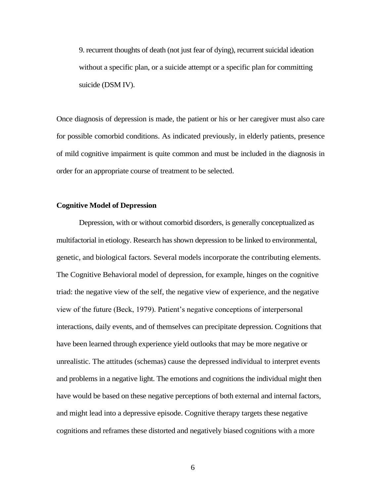9. recurrent thoughts of death (not just fear of dying), recurrent suicidal ideation without a specific plan, or a suicide attempt or a specific plan for committing suicide (DSM IV).

Once diagnosis of depression is made, the patient or his or her caregiver must also care for possible comorbid conditions. As indicated previously, in elderly patients, presence of mild cognitive impairment is quite common and must be included in the diagnosis in order for an appropriate course of treatment to be selected.

#### **Cognitive Model of Depression**

Depression, with or without comorbid disorders, is generally conceptualized as multifactorial in etiology. Research has shown depression to be linked to environmental, genetic, and biological factors. Several models incorporate the contributing elements. The Cognitive Behavioral model of depression, for example, hinges on the cognitive triad: the negative view of the self, the negative view of experience, and the negative view of the future (Beck, 1979). Patient's negative conceptions of interpersonal interactions, daily events, and of themselves can precipitate depression. Cognitions that have been learned through experience yield outlooks that may be more negative or unrealistic. The attitudes (schemas) cause the depressed individual to interpret events and problems in a negative light. The emotions and cognitions the individual might then have would be based on these negative perceptions of both external and internal factors, and might lead into a depressive episode. Cognitive therapy targets these negative cognitions and reframes these distorted and negatively biased cognitions with a more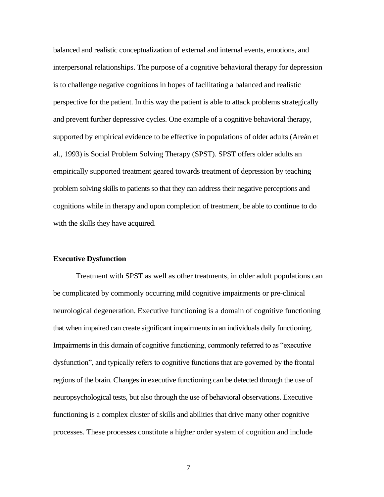balanced and realistic conceptualization of external and internal events, emotions, and interpersonal relationships. The purpose of a cognitive behavioral therapy for depression is to challenge negative cognitions in hopes of facilitating a balanced and realistic perspective for the patient. In this way the patient is able to attack problems strategically and prevent further depressive cycles. One example of a cognitive behavioral therapy, supported by empirical evidence to be effective in populations of older adults (Areán et al., 1993) is Social Problem Solving Therapy (SPST). SPST offers older adults an empirically supported treatment geared towards treatment of depression by teaching problem solving skills to patients so that they can address their negative perceptions and cognitions while in therapy and upon completion of treatment, be able to continue to do with the skills they have acquired.

#### **Executive Dysfunction**

Treatment with SPST as well as other treatments, in older adult populations can be complicated by commonly occurring mild cognitive impairments or pre-clinical neurological degeneration. Executive functioning is a domain of cognitive functioning that when impaired can create significant impairments in an individuals daily functioning. Impairments in this domain of cognitive functioning, commonly referred to as "executive dysfunction", and typically refers to cognitive functions that are governed by the frontal regions of the brain. Changes in executive functioning can be detected through the use of neuropsychological tests, but also through the use of behavioral observations. Executive functioning is a complex cluster of skills and abilities that drive many other cognitive processes. These processes constitute a higher order system of cognition and include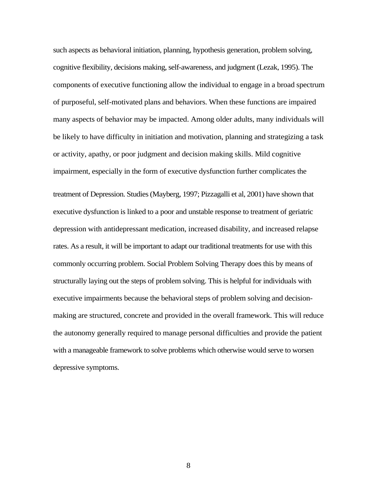such aspects as behavioral initiation, planning, hypothesis generation, problem solving, cognitive flexibility, decisions making, self-awareness, and judgment (Lezak, 1995). The components of executive functioning allow the individual to engage in a broad spectrum of purposeful, self-motivated plans and behaviors. When these functions are impaired many aspects of behavior may be impacted. Among older adults, many individuals will be likely to have difficulty in initiation and motivation, planning and strategizing a task or activity, apathy, or poor judgment and decision making skills. Mild cognitive impairment, especially in the form of executive dysfunction further complicates the treatment of Depression. Studies (Mayberg, 1997; Pizzagalli et al, 2001) have shown that executive dysfunction is linked to a poor and unstable response to treatment of geriatric depression with antidepressant medication, increased disability, and increased relapse rates. As a result, it will be important to adapt our traditional treatments for use with this commonly occurring problem. Social Problem Solving Therapy does this by means of structurally laying out the steps of problem solving. This is helpful for individuals with executive impairments because the behavioral steps of problem solving and decisionmaking are structured, concrete and provided in the overall framework. This will reduce the autonomy generally required to manage personal difficulties and provide the patient with a manageable framework to solve problems which otherwise would serve to worsen depressive symptoms.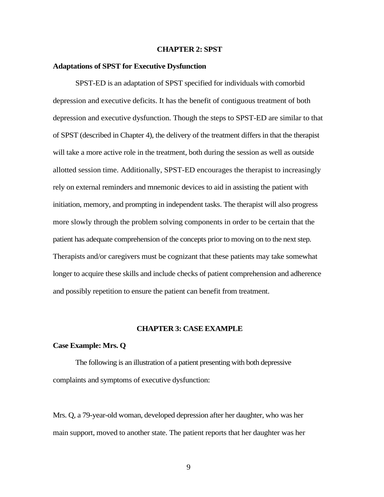#### **CHAPTER 2: SPST**

#### **Adaptations of SPST for Executive Dysfunction**

SPST-ED is an adaptation of SPST specified for individuals with comorbid depression and executive deficits. It has the benefit of contiguous treatment of both depression and executive dysfunction. Though the steps to SPST-ED are similar to that of SPST (described in Chapter 4), the delivery of the treatment differs in that the therapist will take a more active role in the treatment, both during the session as well as outside allotted session time. Additionally, SPST-ED encourages the therapist to increasingly rely on external reminders and mnemonic devices to aid in assisting the patient with initiation, memory, and prompting in independent tasks. The therapist will also progress more slowly through the problem solving components in order to be certain that the patient has adequate comprehension of the concepts prior to moving on to the next step. Therapists and/or caregivers must be cognizant that these patients may take somewhat longer to acquire these skills and include checks of patient comprehension and adherence and possibly repetition to ensure the patient can benefit from treatment.

#### **CHAPTER 3: CASE EXAMPLE**

#### **Case Example: Mrs. Q**

The following is an illustration of a patient presenting with both depressive complaints and symptoms of executive dysfunction:

Mrs. Q, a 79-year-old woman, developed depression after her daughter, who was her main support, moved to another state. The patient reports that her daughter was her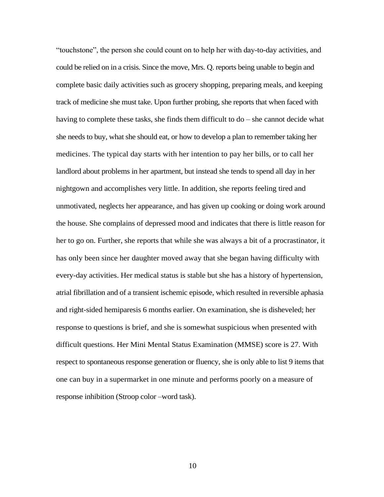"touchstone", the person she could count on to help her with day-to-day activities, and could be relied on in a crisis. Since the move, Mrs. Q. reports being unable to begin and complete basic daily activities such as grocery shopping, preparing meals, and keeping track of medicine she must take. Upon further probing, she reports that when faced with having to complete these tasks, she finds them difficult to do – she cannot decide what she needs to buy, what she should eat, or how to develop a plan to remember taking her medicines. The typical day starts with her intention to pay her bills, or to call her landlord about problems in her apartment, but instead she tends to spend all day in her nightgown and accomplishes very little. In addition, she reports feeling tired and unmotivated, neglects her appearance, and has given up cooking or doing work around the house. She complains of depressed mood and indicates that there is little reason for her to go on. Further, she reports that while she was always a bit of a procrastinator, it has only been since her daughter moved away that she began having difficulty with every-day activities. Her medical status is stable but she has a history of hypertension, atrial fibrillation and of a transient ischemic episode, which resulted in reversible aphasia and right-sided hemiparesis 6 months earlier. On examination, she is disheveled; her response to questions is brief, and she is somewhat suspicious when presented with difficult questions. Her Mini Mental Status Examination (MMSE) score is 27. With respect to spontaneous response generation or fluency, she is only able to list 9 items that one can buy in a supermarket in one minute and performs poorly on a measure of response inhibition (Stroop color –word task).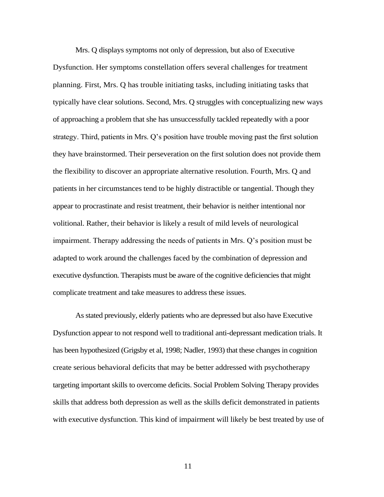Mrs. Q displays symptoms not only of depression, but also of Executive Dysfunction. Her symptoms constellation offers several challenges for treatment planning. First, Mrs. Q has trouble initiating tasks, including initiating tasks that typically have clear solutions. Second, Mrs. Q struggles with conceptualizing new ways of approaching a problem that she has unsuccessfully tackled repeatedly with a poor strategy. Third, patients in Mrs. Q's position have trouble moving past the first solution they have brainstormed. Their perseveration on the first solution does not provide them the flexibility to discover an appropriate alternative resolution. Fourth, Mrs. Q and patients in her circumstances tend to be highly distractible or tangential. Though they appear to procrastinate and resist treatment, their behavior is neither intentional nor volitional. Rather, their behavior is likely a result of mild levels of neurological impairment. Therapy addressing the needs of patients in Mrs. Q's position must be adapted to work around the challenges faced by the combination of depression and executive dysfunction. Therapists must be aware of the cognitive deficiencies that might complicate treatment and take measures to address these issues.

As stated previously, elderly patients who are depressed but also have Executive Dysfunction appear to not respond well to traditional anti-depressant medication trials. It has been hypothesized (Grigsby et al, 1998; Nadler, 1993) that these changes in cognition create serious behavioral deficits that may be better addressed with psychotherapy targeting important skills to overcome deficits. Social Problem Solving Therapy provides skills that address both depression as well as the skills deficit demonstrated in patients with executive dysfunction. This kind of impairment will likely be best treated by use of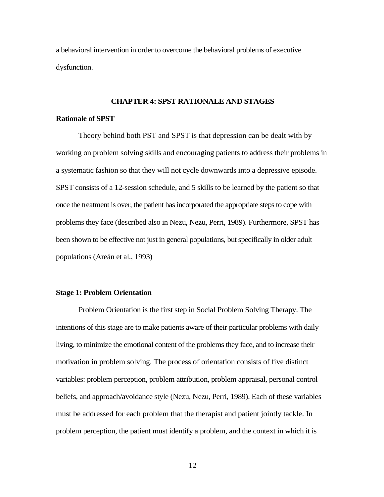a behavioral intervention in order to overcome the behavioral problems of executive dysfunction.

#### **CHAPTER 4: SPST RATIONALE AND STAGES**

#### **Rationale of SPST**

Theory behind both PST and SPST is that depression can be dealt with by working on problem solving skills and encouraging patients to address their problems in a systematic fashion so that they will not cycle downwards into a depressive episode. SPST consists of a 12-session schedule, and 5 skills to be learned by the patient so that once the treatment is over, the patient has incorporated the appropriate steps to cope with problems they face (described also in Nezu, Nezu, Perri, 1989). Furthermore, SPST has been shown to be effective not just in general populations, but specifically in older adult populations (Areán et al., 1993)

#### **Stage 1: Problem Orientation**

Problem Orientation is the first step in Social Problem Solving Therapy. The intentions of this stage are to make patients aware of their particular problems with daily living, to minimize the emotional content of the problems they face, and to increase their motivation in problem solving. The process of orientation consists of five distinct variables: problem perception, problem attribution, problem appraisal, personal control beliefs, and approach/avoidance style (Nezu, Nezu, Perri, 1989). Each of these variables must be addressed for each problem that the therapist and patient jointly tackle. In problem perception, the patient must identify a problem, and the context in which it is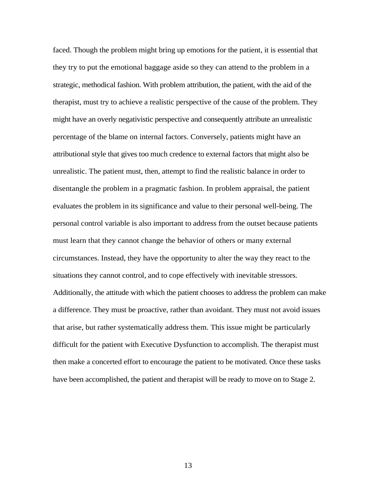faced. Though the problem might bring up emotions for the patient, it is essential that they try to put the emotional baggage aside so they can attend to the problem in a strategic, methodical fashion. With problem attribution, the patient, with the aid of the therapist, must try to achieve a realistic perspective of the cause of the problem. They might have an overly negativistic perspective and consequently attribute an unrealistic percentage of the blame on internal factors. Conversely, patients might have an attributional style that gives too much credence to external factors that might also be unrealistic. The patient must, then, attempt to find the realistic balance in order to disentangle the problem in a pragmatic fashion. In problem appraisal, the patient evaluates the problem in its significance and value to their personal well-being. The personal control variable is also important to address from the outset because patients must learn that they cannot change the behavior of others or many external circumstances. Instead, they have the opportunity to alter the way they react to the situations they cannot control, and to cope effectively with inevitable stressors. Additionally, the attitude with which the patient chooses to address the problem can make a difference. They must be proactive, rather than avoidant. They must not avoid issues that arise, but rather systematically address them. This issue might be particularly difficult for the patient with Executive Dysfunction to accomplish. The therapist must then make a concerted effort to encourage the patient to be motivated. Once these tasks have been accomplished, the patient and therapist will be ready to move on to Stage 2.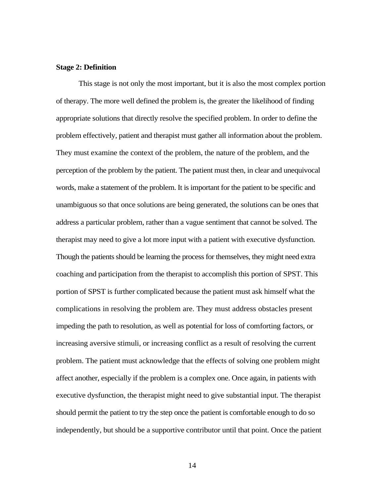#### **Stage 2: Definition**

This stage is not only the most important, but it is also the most complex portion of therapy. The more well defined the problem is, the greater the likelihood of finding appropriate solutions that directly resolve the specified problem. In order to define the problem effectively, patient and therapist must gather all information about the problem. They must examine the context of the problem, the nature of the problem, and the perception of the problem by the patient. The patient must then, in clear and unequivocal words, make a statement of the problem. It is important for the patient to be specific and unambiguous so that once solutions are being generated, the solutions can be ones that address a particular problem, rather than a vague sentiment that cannot be solved. The therapist may need to give a lot more input with a patient with executive dysfunction. Though the patients should be learning the process for themselves, they might need extra coaching and participation from the therapist to accomplish this portion of SPST. This portion of SPST is further complicated because the patient must ask himself what the complications in resolving the problem are. They must address obstacles present impeding the path to resolution, as well as potential for loss of comforting factors, or increasing aversive stimuli, or increasing conflict as a result of resolving the current problem. The patient must acknowledge that the effects of solving one problem might affect another, especially if the problem is a complex one. Once again, in patients with executive dysfunction, the therapist might need to give substantial input. The therapist should permit the patient to try the step once the patient is comfortable enough to do so independently, but should be a supportive contributor until that point. Once the patient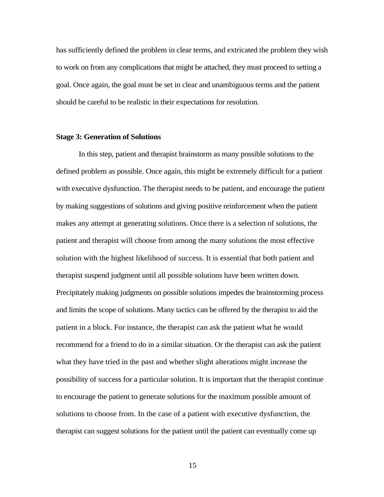has sufficiently defined the problem in clear terms, and extricated the problem they wish to work on from any complications that might be attached, they must proceed to setting a goal. Once again, the goal must be set in clear and unambiguous terms and the patient should be careful to be realistic in their expectations for resolution.

#### **Stage 3: Generation of Solutions**

In this step, patient and therapist brainstorm as many possible solutions to the defined problem as possible. Once again, this might be extremely difficult for a patient with executive dysfunction. The therapist needs to be patient, and encourage the patient by making suggestions of solutions and giving positive reinforcement when the patient makes any attempt at generating solutions. Once there is a selection of solutions, the patient and therapist will choose from among the many solutions the most effective solution with the highest likelihood of success. It is essential that both patient and therapist suspend judgment until all possible solutions have been written down. Precipitately making judgments on possible solutions impedes the brainstorming process and limits the scope of solutions. Many tactics can be offered by the therapist to aid the patient in a block. For instance, the therapist can ask the patient what he would recommend for a friend to do in a similar situation. Or the therapist can ask the patient what they have tried in the past and whether slight alterations might increase the possibility of success for a particular solution. It is important that the therapist continue to encourage the patient to generate solutions for the maximum possible amount of solutions to choose from. In the case of a patient with executive dysfunction, the therapist can suggest solutions for the patient until the patient can eventually come up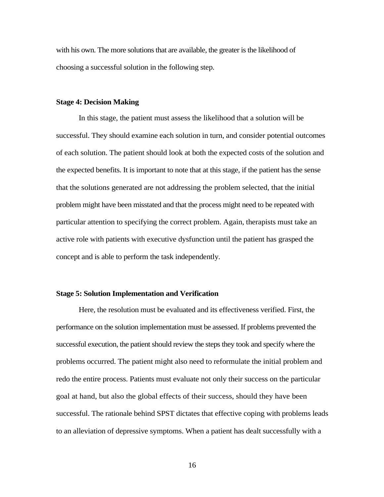with his own. The more solutions that are available, the greater is the likelihood of choosing a successful solution in the following step.

#### **Stage 4: Decision Making**

In this stage, the patient must assess the likelihood that a solution will be successful. They should examine each solution in turn, and consider potential outcomes of each solution. The patient should look at both the expected costs of the solution and the expected benefits. It is important to note that at this stage, if the patient has the sense that the solutions generated are not addressing the problem selected, that the initial problem might have been misstated and that the process might need to be repeated with particular attention to specifying the correct problem. Again, therapists must take an active role with patients with executive dysfunction until the patient has grasped the concept and is able to perform the task independently.

#### **Stage 5: Solution Implementation and Verification**

Here, the resolution must be evaluated and its effectiveness verified. First, the performance on the solution implementation must be assessed. If problems prevented the successful execution, the patient should review the steps they took and specify where the problems occurred. The patient might also need to reformulate the initial problem and redo the entire process. Patients must evaluate not only their success on the particular goal at hand, but also the global effects of their success, should they have been successful. The rationale behind SPST dictates that effective coping with problems leads to an alleviation of depressive symptoms. When a patient has dealt successfully with a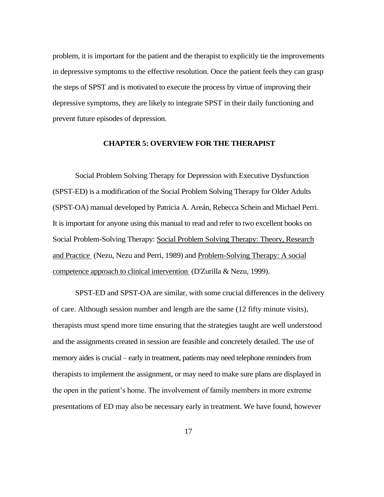problem, it is important for the patient and the therapist to explicitly tie the improvements in depressive symptoms to the effective resolution. Once the patient feels they can grasp the steps of SPST and is motivated to execute the process by virtue of improving their depressive symptoms, they are likely to integrate SPST in their daily functioning and prevent future episodes of depression.

#### **CHAPTER 5: OVERVIEW FOR THE THERAPIST**

Social Problem Solving Therapy for Depression with Executive Dysfunction (SPST-ED) is a modification of the Social Problem Solving Therapy for Older Adults (SPST-OA) manual developed by Patricia A. Areán, Rebecca Schein and Michael Perri. It is important for anyone using this manual to read and refer to two excellent books on Social Problem-Solving Therapy: Social Problem Solving Therapy: Theory, Research and Practice (Nezu, Nezu and Perri, 1989) and Problem-Solving Therapy: A social competence approach to clinical intervention (D'Zurilla & Nezu, 1999).

SPST-ED and SPST-OA are similar, with some crucial differences in the delivery of care. Although session number and length are the same (12 fifty minute visits), therapists must spend more time ensuring that the strategies taught are well understood and the assignments created in session are feasible and concretely detailed. The use of memory aides is crucial – early in treatment, patients may need telephone reminders from therapists to implement the assignment, or may need to make sure plans are displayed in the open in the patient's home. The involvement of family members in more extreme presentations of ED may also be necessary early in treatment. We have found, however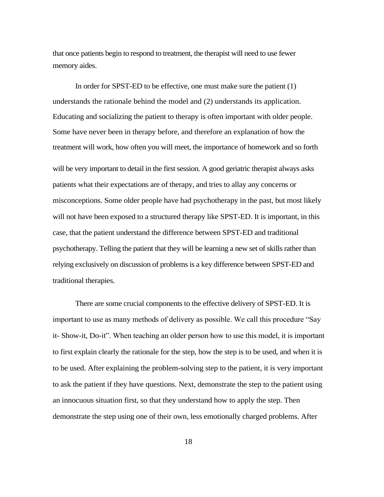that once patients begin to respond to treatment, the therapist will need to use fewer memory aides.

In order for SPST-ED to be effective, one must make sure the patient (1) understands the rationale behind the model and (2) understands its application. Educating and socializing the patient to therapy is often important with older people. Some have never been in therapy before, and therefore an explanation of how the treatment will work, how often you will meet, the importance of homework and so forth will be very important to detail in the first session. A good geriatric therapist always asks patients what their expectations are of therapy, and tries to allay any concerns or misconceptions. Some older people have had psychotherapy in the past, but most likely will not have been exposed to a structured therapy like SPST-ED. It is important, in this case, that the patient understand the difference between SPST-ED and traditional psychotherapy. Telling the patient that they will be learning a new set of skills rather than relying exclusively on discussion of problems is a key difference between SPST-ED and traditional therapies.

There are some crucial components to the effective delivery of SPST-ED. It is important to use as many methods of delivery as possible. We call this procedure "Say it- Show-it, Do-it". When teaching an older person how to use this model, it is important to first explain clearly the rationale for the step, how the step is to be used, and when it is to be used. After explaining the problem-solving step to the patient, it is very important to ask the patient if they have questions. Next, demonstrate the step to the patient using an innocuous situation first, so that they understand how to apply the step. Then demonstrate the step using one of their own, less emotionally charged problems. After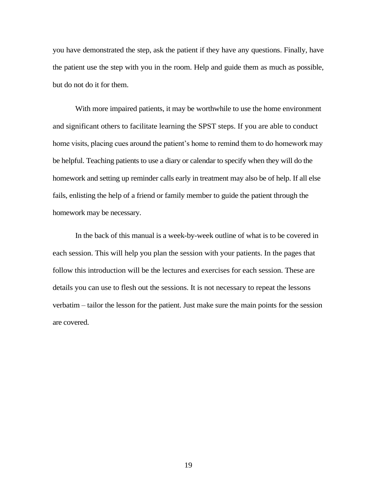you have demonstrated the step, ask the patient if they have any questions. Finally, have the patient use the step with you in the room. Help and guide them as much as possible, but do not do it for them.

With more impaired patients, it may be worthwhile to use the home environment and significant others to facilitate learning the SPST steps. If you are able to conduct home visits, placing cues around the patient's home to remind them to do homework may be helpful. Teaching patients to use a diary or calendar to specify when they will do the homework and setting up reminder calls early in treatment may also be of help. If all else fails, enlisting the help of a friend or family member to guide the patient through the homework may be necessary.

In the back of this manual is a week-by-week outline of what is to be covered in each session. This will help you plan the session with your patients. In the pages that follow this introduction will be the lectures and exercises for each session. These are details you can use to flesh out the sessions. It is not necessary to repeat the lessons verbatim – tailor the lesson for the patient. Just make sure the main points for the session are covered.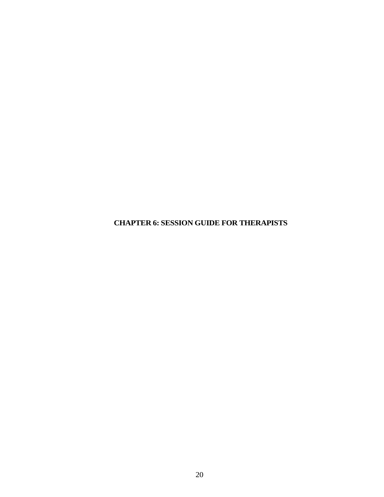**CHAPTER 6: SESSION GUIDE FOR THERAPISTS**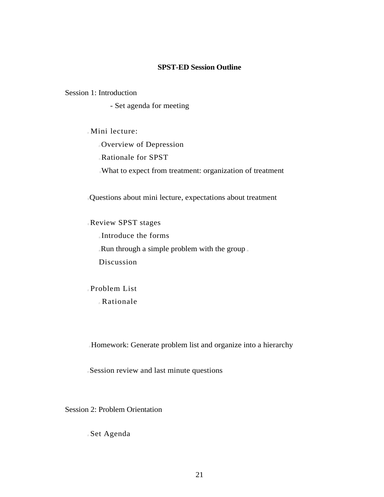#### **SPST-ED Session Outline**

#### Session 1: Introduction

- Set agenda for meeting

Mini lecture:

Overview of Depression

Rationale for SPST

What to expect from treatment: organization of treatment

Questions about mini lecture, expectations about treatment

Review SPST stages

Introduce the forms Run through a simple problem with the group Discussion

Problem List Rationale

Homework: Generate problem list and organize into a hierarchy

Session review and last minute questions

Session 2: Problem Orientation

Set Agenda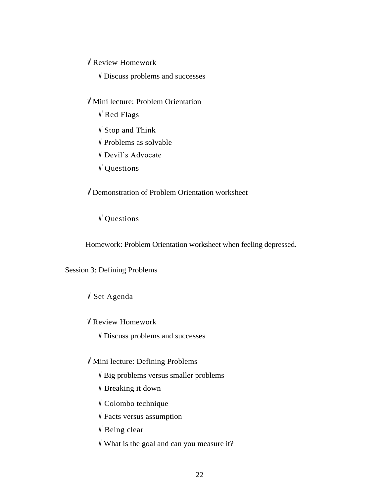<sup>v</sup>' Review Homework

<sup>v</sup>' Discuss problems and successes

- <sup>v</sup>' Mini lecture: Problem Orientation
	- <sup>v</sup>' Red Flags
	- <sup>v</sup>' Stop and Think
	- <sup>v</sup>' Problems as solvable
	- <sup>v</sup>' Devil's Advocate
	- <sup>v</sup>' Questions

<sup>v</sup>' Demonstration of Problem Orientation worksheet

# <sup>v</sup>' Questions

Homework: Problem Orientation worksheet when feeling depressed.

## Session 3: Defining Problems

# <sup>v</sup>' Set Agenda

<sup>v</sup>' Review Homework

<sup>v</sup>' Discuss problems and successes

<sup>v</sup>' Mini lecture: Defining Problems

<sup>v</sup>' Big problems versus smaller problems

<sup>v</sup>' Breaking it down

<sup>v</sup>' Colombo technique

<sup>v</sup>' Facts versus assumption

<sup>v</sup>' Being clear

 $V'$  What is the goal and can you measure it?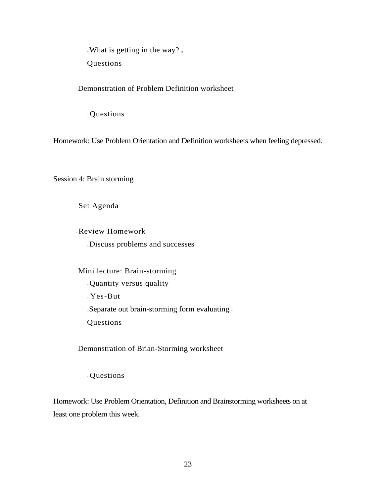What is getting in the way?

Questions

Demonstration of Problem Definition worksheet

Questions

Homework: Use Problem Orientation and Definition worksheets when feeling depressed.

Session 4: Brain storming

Set Agenda

Review Homework Discuss problems and successes

Mini lecture: Brain-storming Quantity versus quality Yes-But Separate out brain-storming form evaluating Questions

Demonstration of Brian-Storming worksheet

Questions

Homework: Use Problem Orientation, Definition and Brainstorming worksheets on at least one problem this week.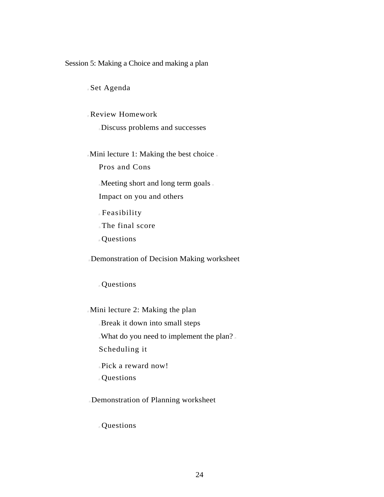#### Session 5: Making a Choice and making a plan

Set Agenda

Review Homework

Discuss problems and successes

Mini lecture 1: Making the best choice

Pros and Cons

Meeting short and long term goals.

Impact on you and others

Feasibility

The final score

Questions

Demonstration of Decision Making worksheet

Questions

Mini lecture 2: Making the plan

Break it down into small steps

What do you need to implement the plan?

Scheduling it

Pick a reward now!

Questions

Demonstration of Planning worksheet

Questions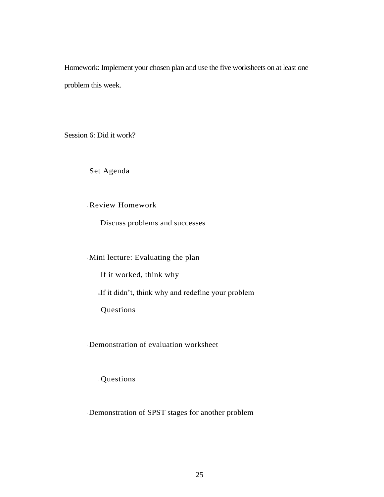Homework: Implement your chosen plan and use the five worksheets on at least one problem this week.

Session 6: Did it work?

Set Agenda

Review Homework

Discuss problems and successes

Mini lecture: Evaluating the plan

If it worked, think why

If it didn't, think why and redefine your problem

Questions

Demonstration of evaluation worksheet

Questions

Demonstration of SPST stages for another problem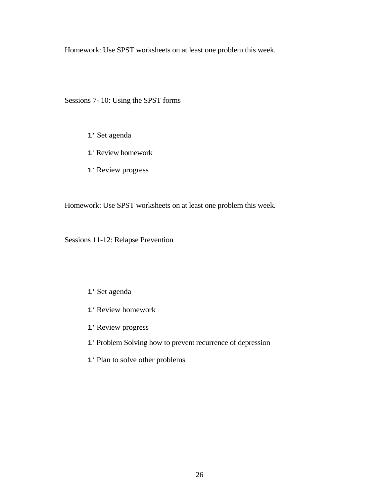Homework: Use SPST worksheets on at least one problem this week.

Sessions 7- 10: Using the SPST forms

- 1' Set agenda
- 1' Review homework
- 1' Review progress

Homework: Use SPST worksheets on at least one problem this week.

Sessions 11-12: Relapse Prevention

#### 1' Set agenda

- 1' Review homework
- 1' Review progress
- 1' Problem Solving how to prevent recurrence of depression
- 1' Plan to solve other problems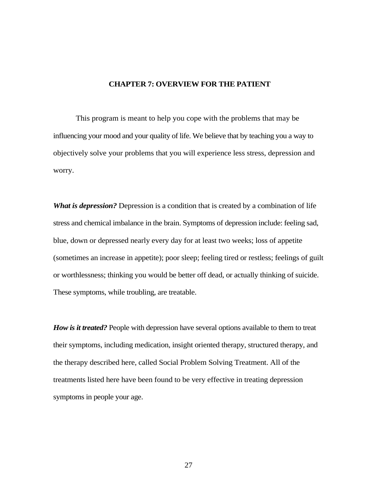#### **CHAPTER 7: OVERVIEW FOR THE PATIENT**

This program is meant to help you cope with the problems that may be influencing your mood and your quality of life. We believe that by teaching you a way to objectively solve your problems that you will experience less stress, depression and worry.

*What is depression?* Depression is a condition that is created by a combination of life stress and chemical imbalance in the brain. Symptoms of depression include: feeling sad, blue, down or depressed nearly every day for at least two weeks; loss of appetite (sometimes an increase in appetite); poor sleep; feeling tired or restless; feelings of guilt or worthlessness; thinking you would be better off dead, or actually thinking of suicide. These symptoms, while troubling, are treatable.

*How is it treated?* People with depression have several options available to them to treat their symptoms, including medication, insight oriented therapy, structured therapy, and the therapy described here, called Social Problem Solving Treatment. All of the treatments listed here have been found to be very effective in treating depression symptoms in people your age.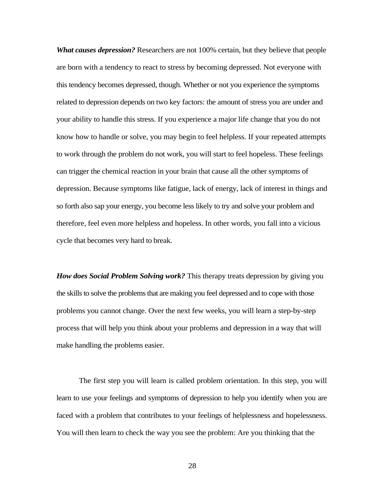*What causes depression?* Researchers are not 100% certain, but they believe that people are born with a tendency to react to stress by becoming depressed. Not everyone with this tendency becomes depressed, though. Whether or not you experience the symptoms related to depression depends on two key factors: the amount of stress you are under and your ability to handle this stress. If you experience a major life change that you do not know how to handle or solve, you may begin to feel helpless. If your repeated attempts to work through the problem do not work, you will start to feel hopeless. These feelings can trigger the chemical reaction in your brain that cause all the other symptoms of depression. Because symptoms like fatigue, lack of energy, lack of interest in things and so forth also sap your energy, you become less likely to try and solve your problem and therefore, feel even more helpless and hopeless. In other words, you fall into a vicious cycle that becomes very hard to break.

*How does Social Problem Solving work?* This therapy treats depression by giving you the skills to solve the problems that are making you feel depressed and to cope with those problems you cannot change. Over the next few weeks, you will learn a step-by-step process that will help you think about your problems and depression in a way that will make handling the problems easier.

The first step you will learn is called problem orientation. In this step, you will learn to use your feelings and symptoms of depression to help you identify when you are faced with a problem that contributes to your feelings of helplessness and hopelessness. You will then learn to check the way you see the problem: Are you thinking that the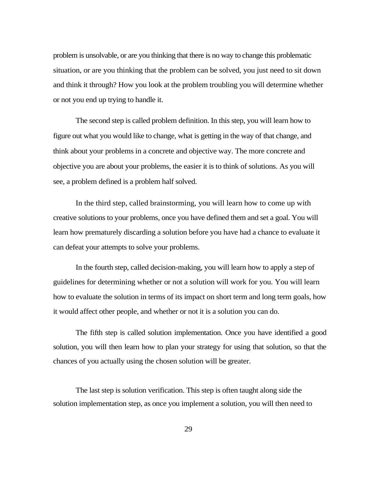problem is unsolvable, or are you thinking that there is no way to change this problematic situation, or are you thinking that the problem can be solved, you just need to sit down and think it through? How you look at the problem troubling you will determine whether or not you end up trying to handle it.

The second step is called problem definition. In this step, you will learn how to figure out what you would like to change, what is getting in the way of that change, and think about your problems in a concrete and objective way. The more concrete and objective you are about your problems, the easier it is to think of solutions. As you will see, a problem defined is a problem half solved.

In the third step, called brainstorming, you will learn how to come up with creative solutions to your problems, once you have defined them and set a goal. You will learn how prematurely discarding a solution before you have had a chance to evaluate it can defeat your attempts to solve your problems.

In the fourth step, called decision-making, you will learn how to apply a step of guidelines for determining whether or not a solution will work for you. You will learn how to evaluate the solution in terms of its impact on short term and long term goals, how it would affect other people, and whether or not it is a solution you can do.

The fifth step is called solution implementation. Once you have identified a good solution, you will then learn how to plan your strategy for using that solution, so that the chances of you actually using the chosen solution will be greater.

The last step is solution verification. This step is often taught along side the solution implementation step, as once you implement a solution, you will then need to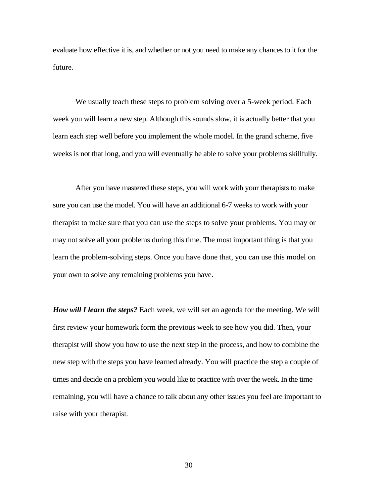evaluate how effective it is, and whether or not you need to make any chances to it for the future.

We usually teach these steps to problem solving over a 5-week period. Each week you will learn a new step. Although this sounds slow, it is actually better that you learn each step well before you implement the whole model. In the grand scheme, five weeks is not that long, and you will eventually be able to solve your problems skillfully.

After you have mastered these steps, you will work with your therapists to make sure you can use the model. You will have an additional 6-7 weeks to work with your therapist to make sure that you can use the steps to solve your problems. You may or may not solve all your problems during this time. The most important thing is that you learn the problem-solving steps. Once you have done that, you can use this model on your own to solve any remaining problems you have.

*How will I learn the steps?* Each week, we will set an agenda for the meeting. We will first review your homework form the previous week to see how you did. Then, your therapist will show you how to use the next step in the process, and how to combine the new step with the steps you have learned already. You will practice the step a couple of times and decide on a problem you would like to practice with over the week. In the time remaining, you will have a chance to talk about any other issues you feel are important to raise with your therapist.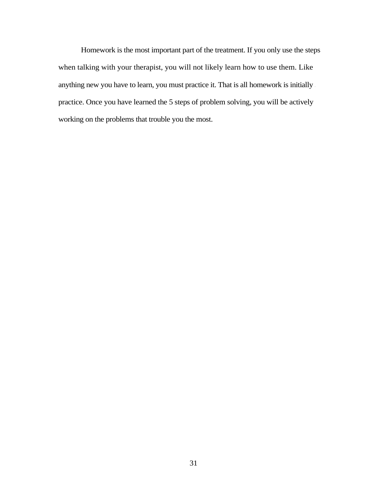Homework is the most important part of the treatment. If you only use the steps when talking with your therapist, you will not likely learn how to use them. Like anything new you have to learn, you must practice it. That is all homework is initially – practice. Once you have learned the 5 steps of problem solving, you will be actively working on the problems that trouble you the most.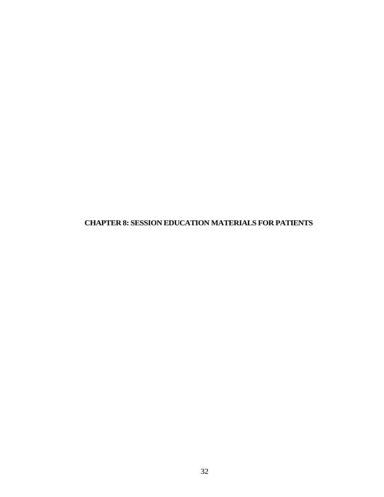**CHAPTER 8: SESSION EDUCATION MATERIALS FOR PATIENTS**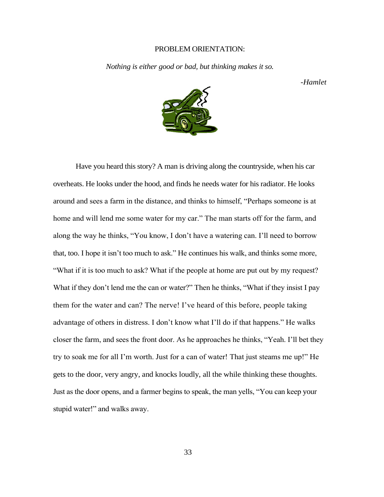#### PROBLEM ORIENTATION:

*Nothing is either good or bad, but thinking makes it so.*

*-Hamlet*



Have you heard this story? A man is driving along the countryside, when his car overheats. He looks under the hood, and finds he needs water for his radiator. He looks around and sees a farm in the distance, and thinks to himself, "Perhaps someone is at home and will lend me some water for my car." The man starts off for the farm, and along the way he thinks, "You know, I don't have a watering can. I'll need to borrow that, too. I hope it isn't too much to ask." He continues his walk, and thinks some more, "What if it is too much to ask? What if the people at home are put out by my request? What if they don't lend me the can or water?" Then he thinks, "What if they insist I pay them for the water and can? The nerve! I've heard of this before, people taking advantage of others in distress. I don't know what I'll do if that happens." He walks closer the farm, and sees the front door. As he approaches he thinks, "Yeah. I'll bet they try to soak me for all I'm worth. Just for a can of water! That just steams me up!" He gets to the door, very angry, and knocks loudly, all the while thinking these thoughts. Just as the door opens, and a farmer begins to speak, the man yells, "You can keep your stupid water!" and walks away.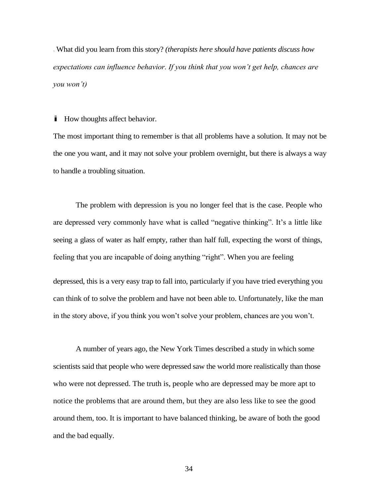What did you learn from this story? *(therapists here should have patients discuss how expectations can influence behavior. If you think that you won't get help, chances are you won't)*

**i** How thoughts affect behavior.

The most important thing to remember is that all problems have a solution. It may not be the one you want, and it may not solve your problem overnight, but there is always a way to handle a troubling situation.

The problem with depression is you no longer feel that is the case. People who are depressed very commonly have what is called "negative thinking". It's a little like seeing a glass of water as half empty, rather than half full, expecting the worst of things, feeling that you are incapable of doing anything "right". When you are feeling

depressed, this is a very easy trap to fall into, particularly if you have tried everything you can think of to solve the problem and have not been able to. Unfortunately, like the man in the story above, if you think you won't solve your problem, chances are you won't.

A number of years ago, the New York Times described a study in which some scientists said that people who were depressed saw the world more realistically than those who were not depressed. The truth is, people who are depressed may be more apt to notice the problems that are around them, but they are also less like to see the good around them, too. It is important to have balanced thinking, be aware of both the good and the bad equally.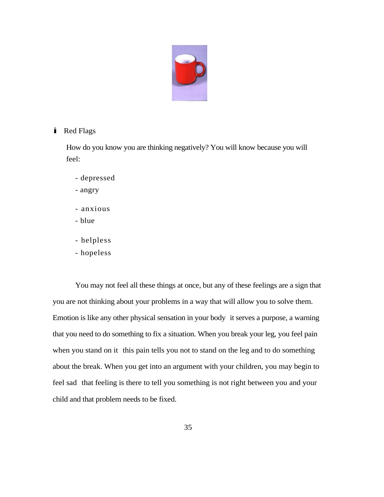

### **i** Red Flags

How do you know you are thinking negatively? You will know because you will feel:

- depressed
- angry
- anxious
- blue
- helpless
- hopeless

You may not feel all these things at once, but any of these feelings are a sign that you are not thinking about your problems in a way that will allow you to solve them. Emotion is like any other physical sensation in your body – it serves a purpose, a warning that you need to do something to fix a situation. When you break your leg, you feel pain when you stand on it – this pain tells you not to stand on the leg and to do something about the break. When you get into an argument with your children, you may begin to feel sad – that feeling is there to tell you something is not right between you and your child and that problem needs to be fixed.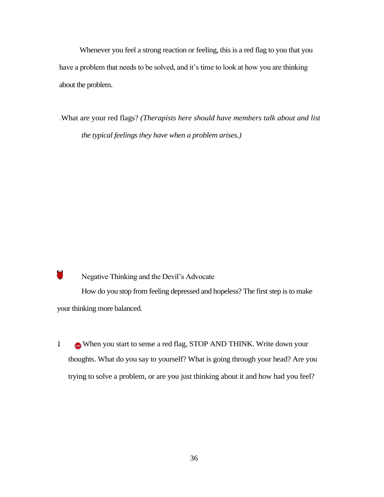Whenever you feel a strong reaction or feeling, this is a red flag to you that you have a problem that needs to be solved, and it's time to look at how you are thinking about the problem.

What are your red flags? *(Therapists here should have members talk about and list the typical feelings they have when a problem arises.)*

 $\mathcal{L}^{(1)}$ Negative Thinking and the Devil's Advocate How do you stop from feeling depressed and hopeless? The first step is to make your thinking more balanced.

1 When you start to sense a red flag, STOP AND THINK. Write down your thoughts. What do you say to yourself? What is going through your head? Are you trying to solve a problem, or are you just thinking about it and how had you feel?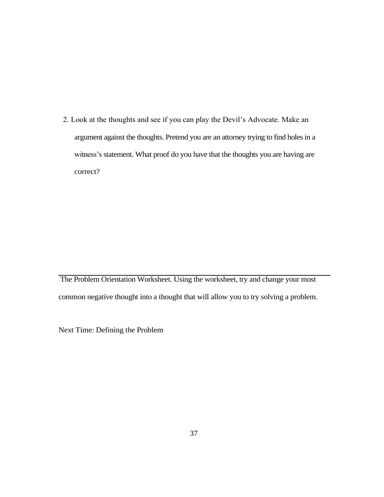2. Look at the thoughts and see if you can play the Devil's Advocate. Make an argument against the thoughts. Pretend you are an attorney trying to find holes in a witness's statement. What proof do you have that the thoughts you are having are correct?

The Problem Orientation Worksheet. Using the worksheet, try and change your most common negative thought into a thought that will allow you to try solving a problem.

Next Time: Defining the Problem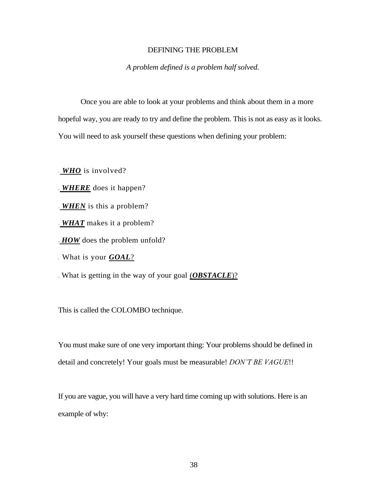#### DEFINING THE PROBLEM

*A problem defined is a problem half solved.*

Once you are able to look at your problems and think about them in a more hopeful way, you are ready to try and define the problem. This is not as easy as it looks. You will need to ask yourself these questions when defining your problem:

*WHO* is involved?

*WHERE* does it happen?

*WHEN* is this a problem?

*WHAT* makes it a problem?

*HOW* does the problem unfold?

What is your *GOAL*?

What is getting in the way of your goal (*OBSTACLE*)?

This is called the COLOMBO technique.

You must make sure of one very important thing: Your problems should be defined in detail and concretely! Your goals must be measurable! *DON'T BE VAGUE*!!

If you are vague, you will have a very hard time coming up with solutions. Here is an example of why: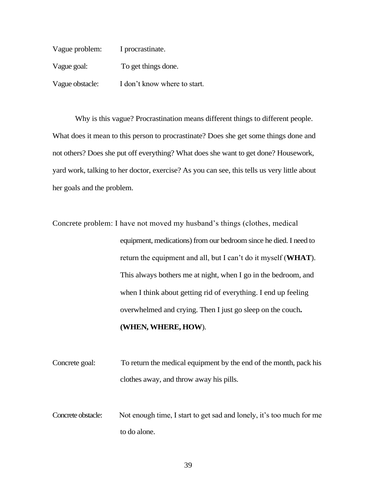| Vague problem:  | I procrastinate.             |
|-----------------|------------------------------|
| Vague goal:     | To get things done.          |
| Vague obstacle: | I don't know where to start. |

Why is this vague? Procrastination means different things to different people. What does it mean to this person to procrastinate? Does she get some things done and not others? Does she put off everything? What does she want to get done? Housework, yard work, talking to her doctor, exercise? As you can see, this tells us very little about her goals and the problem.

Concrete problem: I have not moved my husband's things (clothes, medical equipment, medications) from our bedroom since he died. I need to return the equipment and all, but I can't do it myself (**WHAT**). This always bothers me at night, when I go in the bedroom, and when I think about getting rid of everything. I end up feeling overwhelmed and crying. Then I just go sleep on the couch**. (WHEN, WHERE, HOW**).

Concrete goal: To return the medical equipment by the end of the month, pack his clothes away, and throw away his pills.

Concrete obstacle: Not enough time, I start to get sad and lonely, it's too much for me to do alone.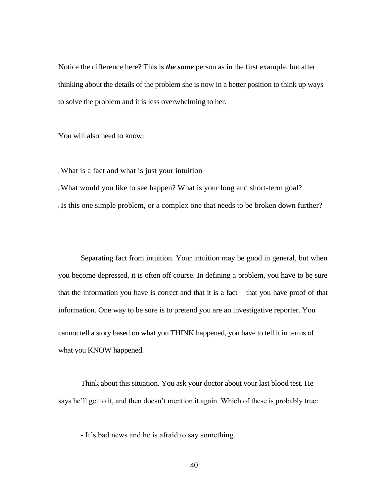Notice the difference here? This is *the same* person as in the first example, but after thinking about the details of the problem she is now in a better position to think up ways to solve the problem and it is less overwhelming to her.

You will also need to know:

) What is a fact and what is just your intuition

) What would you like to see happen? What is your long and short-term goal?

) Is this one simple problem, or a complex one that needs to be broken down further?

Separating fact from intuition. Your intuition may be good in general, but when you become depressed, it is often off course. In defining a problem, you have to be sure that the information you have is correct and that it is a fact – that you have proof of that information. One way to be sure is to pretend you are an investigative reporter. You cannot tell a story based on what you THINK happened, you have to tell it in terms of what you KNOW happened.

Think about this situation. You ask your doctor about your last blood test. He says he'll get to it, and then doesn't mention it again. Which of these is probably true:

- It's bad news and he is afraid to say something.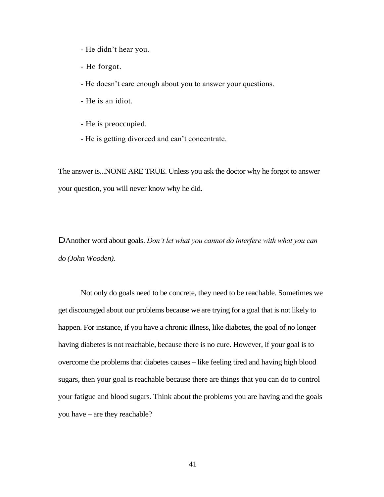- He didn't hear you.
- He forgot.
- He doesn't care enough about you to answer your questions.
- He is an idiot.
- He is preoccupied.
- He is getting divorced and can't concentrate.

The answer is...NONE ARE TRUE. Unless you ask the doctor why he forgot to answer your question, you will never know why he did.

DAnother word about goals. *Don't let what you cannot do interfere with what you can do (John Wooden).*

Not only do goals need to be concrete, they need to be reachable. Sometimes we get discouraged about our problems because we are trying for a goal that is not likely to happen. For instance, if you have a chronic illness, like diabetes, the goal of no longer having diabetes is not reachable, because there is no cure. However, if your goal is to overcome the problems that diabetes causes – like feeling tired and having high blood sugars, then your goal is reachable because there are things that you can do to control your fatigue and blood sugars. Think about the problems you are having and the goals you have – are they reachable?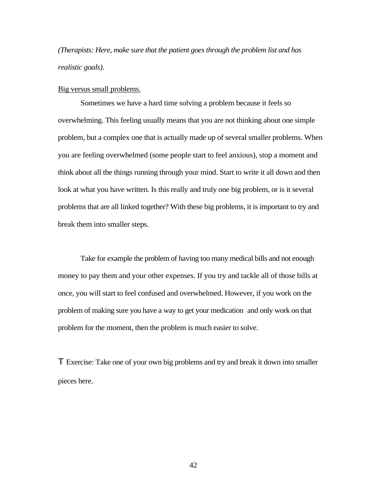*(Therapists: Here, make sure that the patient goes through the problem list and has realistic goals).*

#### Big versus small problems.

Sometimes we have a hard time solving a problem because it feels so overwhelming. This feeling usually means that you are not thinking about one simple problem, but a complex one that is actually made up of several smaller problems. When you are feeling overwhelmed (some people start to feel anxious), stop a moment and think about all the things running through your mind. Start to write it all down and then look at what you have written. Is this really and truly one big problem, or is it several problems that are all linked together? With these big problems, it is important to try and break them into smaller steps.

Take for example the problem of having too many medical bills and not enough money to pay them and your other expenses. If you try and tackle all of those bills at once, you will start to feel confused and overwhelmed. However, if you work on the problem of making sure you have a way to get your medication – and only work on that problem for the moment, then the problem is much easier to solve.

T Exercise: Take one of your own big problems and try and break it down into smaller pieces here.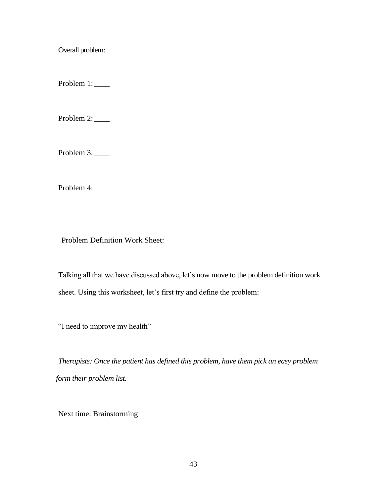Overall problem:

Problem 1:

Problem 2:

Problem 3:

Problem 4:

' Problem Definition Work Sheet:

Talking all that we have discussed above, let's now move to the problem definition work sheet. Using this worksheet, let's first try and define the problem:

"I need to improve my health"

*Therapists: Once the patient has defined this problem, have them pick an easy problem form their problem list.*

Next time: Brainstorming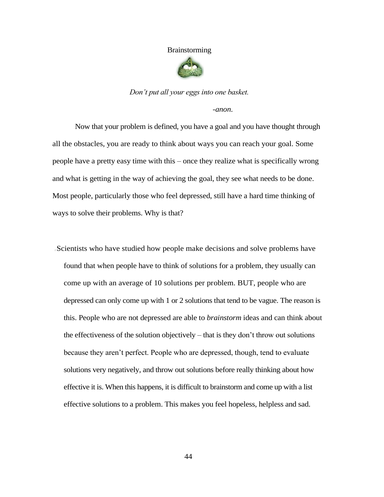#### Brainstorming



*Don't put all your eggs into one basket.*

*-anon.*

Now that your problem is defined, you have a goal and you have thought through all the obstacles, you are ready to think about ways you can reach your goal. Some people have a pretty easy time with this – once they realize what is specifically wrong and what is getting in the way of achieving the goal, they see what needs to be done. Most people, particularly those who feel depressed, still have a hard time thinking of ways to solve their problems. Why is that?

Scientists who have studied how people make decisions and solve problems have found that when people have to think of solutions for a problem, they usually can come up with an average of 10 solutions per problem. BUT, people who are depressed can only come up with 1 or 2 solutions that tend to be vague. The reason is this. People who are not depressed are able to *brainstorm* ideas and can think about the effectiveness of the solution objectively – that is they don't throw out solutions because they aren't perfect. People who are depressed, though, tend to evaluate solutions very negatively, and throw out solutions before really thinking about how effective it is. When this happens, it is difficult to brainstorm and come up with a list effective solutions to a problem. This makes you feel hopeless, helpless and sad.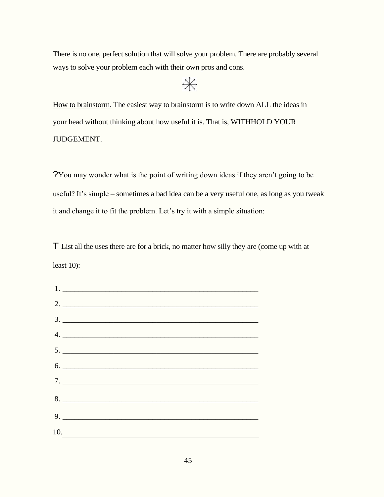There is no one, perfect solution that will solve your problem. There are probably several ways to solve your problem each with their own pros and cons.

 $*$ 

How to brainstorm. The easiest way to brainstorm is to write down ALL the ideas in your head without thinking about how useful it is. That is, WITHHOLD YOUR JUDGEMENT.

?You may wonder what is the point of writing down ideas if they aren't going to be useful? It's simple – sometimes a bad idea can be a very useful one, as long as you tweak it and change it to fit the problem. Let's try it with a simple situation:

T List all the uses there are for a brick, no matter how silly they are (come up with at least 10):

| $\frac{1}{2}$                       |
|-------------------------------------|
|                                     |
|                                     |
| $5.$ $\overline{\phantom{a}}$<br>6. |
|                                     |
|                                     |
|                                     |
|                                     |
| 10.                                 |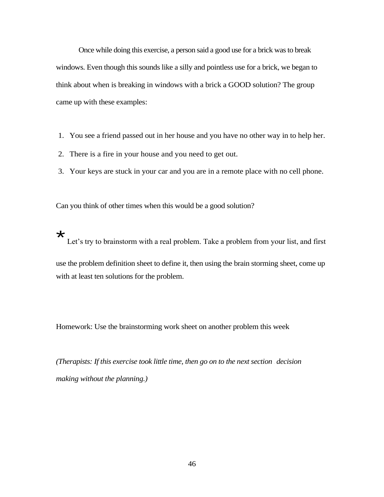Once while doing this exercise, a person said a good use for a brick was to break windows. Even though this sounds like a silly and pointless use for a brick, we began to think about when is breaking in windows with a brick a GOOD solution? The group came up with these examples:

- 1. You see a friend passed out in her house and you have no other way in to help her.
- 2. There is a fire in your house and you need to get out.
- 3. Your keys are stuck in your car and you are in a remote place with no cell phone.

Can you think of other times when this would be a good solution?

 $\star$ 

Let's try to brainstorm with a real problem. Take a problem from your list, and first

use the problem definition sheet to define it, then using the brain storming sheet, come up with at least ten solutions for the problem.

Homework: Use the brainstorming work sheet on another problem this week

*(Therapists: If this exercise took little time, then go on to the next section – decision making without the planning.)*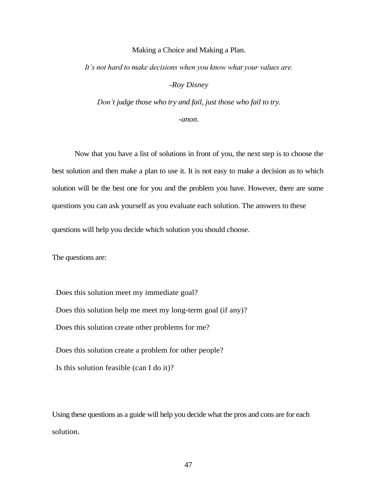#### Making a Choice and Making a Plan.

*It's not hard to make decisions when you know what your values are.*

*-Roy Disney*

*Don't judge those who try and fail, just those who fail to try.*

*-anon.*

Now that you have a list of solutions in front of you, the next step is to choose the best solution and then make a plan to use it. It is not easy to make a decision as to which solution will be the best one for you and the problem you have. However, there are some questions you can ask yourself as you evaluate each solution. The answers to these

questions will help you decide which solution you should choose.

The questions are:

? Does this solution meet my immediate goal?

? Does this solution help me meet my long-term goal (if any)?

? Does this solution create other problems for me?

? Does this solution create a problem for other people?

? Is this solution feasible (can I do it)?

Using these questions as a guide will help you decide what the pros and cons are for each solution.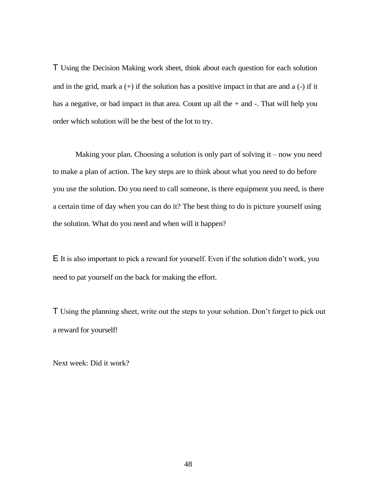T Using the Decision Making work sheet, think about each question for each solution and in the grid, mark  $a (+)$  if the solution has a positive impact in that are and  $a (-)$  if it has a negative, or bad impact in that area. Count up all the  $+$  and  $-$ . That will help you order which solution will be the best of the lot to try.

Making your plan. Choosing a solution is only part of solving it – now you need to make a plan of action. The key steps are to think about what you need to do before you use the solution. Do you need to call someone, is there equipment you need, is there a certain time of day when you can do it? The best thing to do is picture yourself using the solution. What do you need and when will it happen?

E It is also important to pick a reward for yourself. Even if the solution didn't work, you need to pat yourself on the back for making the effort.

T Using the planning sheet, write out the steps to your solution. Don't forget to pick out a reward for yourself!

Next week: Did it work?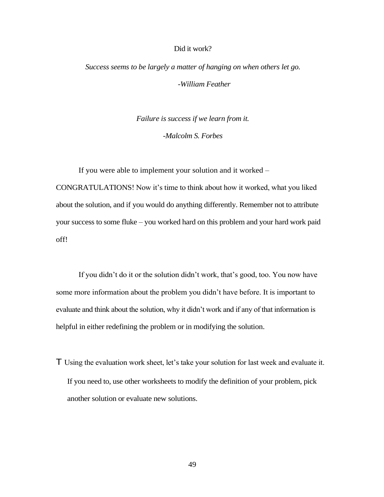#### Did it work?

*Success seems to be largely a matter of hanging on when others let go. -William Feather*

> *Failure is success if we learn from it. -Malcolm S. Forbes*

If you were able to implement your solution and it worked – CONGRATULATIONS! Now it's time to think about how it worked, what you liked about the solution, and if you would do anything differently. Remember not to attribute your success to some fluke – you worked hard on this problem and your hard work paid off!

If you didn't do it or the solution didn't work, that's good, too. You now have some more information about the problem you didn't have before. It is important to evaluate and think about the solution, why it didn't work and if any of that information is helpful in either redefining the problem or in modifying the solution.

T Using the evaluation work sheet, let's take your solution for last week and evaluate it. If you need to, use other worksheets to modify the definition of your problem, pick another solution or evaluate new solutions.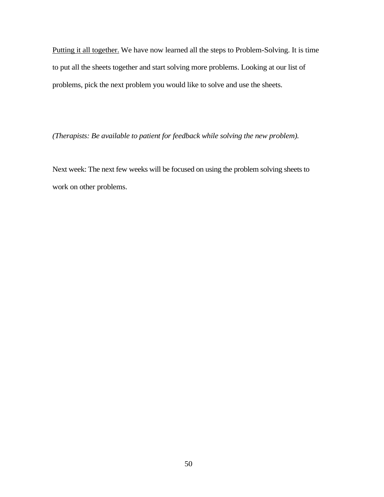Putting it all together. We have now learned all the steps to Problem-Solving. It is time to put all the sheets together and start solving more problems. Looking at our list of problems, pick the next problem you would like to solve and use the sheets.

*(Therapists: Be available to patient for feedback while solving the new problem).*

Next week: The next few weeks will be focused on using the problem solving sheets to work on other problems.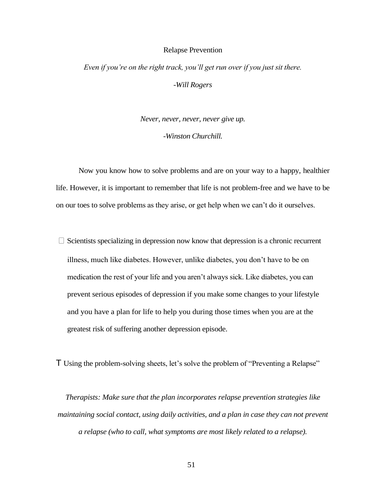#### Relapse Prevention

# *Even if you're on the right track, you'll get run over if you just sit there. -Will Rogers*

*Never, never, never, never give up. -Winston Churchill.*

Now you know how to solve problems and are on your way to a happy, healthier life. However, it is important to remember that life is not problem-free and we have to be on our toes to solve problems as they arise, or get help when we can't do it ourselves.

 $\Box$  Scientists specializing in depression now know that depression is a chronic recurrent illness, much like diabetes. However, unlike diabetes, you don't have to be on medication the rest of your life and you aren't always sick. Like diabetes, you can prevent serious episodes of depression if you make some changes to your lifestyle and you have a plan for life to help you during those times when you are at the greatest risk of suffering another depression episode.

T Using the problem-solving sheets, let's solve the problem of "Preventing a Relapse"

*Therapists: Make sure that the plan incorporates relapse prevention strategies like maintaining social contact, using daily activities, and a plan in case they can not prevent a relapse (who to call, what symptoms are most likely related to a relapse).*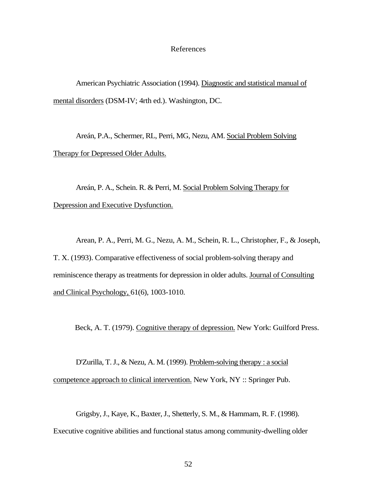#### References

American Psychiatric Association (1994). Diagnostic and statistical manual of mental disorders (DSM-IV; 4rth ed.). Washington, DC.

Areán, P.A., Schermer, RL, Perri, MG, Nezu, AM. Social Problem Solving Therapy for Depressed Older Adults.

Areán, P. A., Schein. R. & Perri, M. Social Problem Solving Therapy for Depression and Executive Dysfunction.

Arean, P. A., Perri, M. G., Nezu, A. M., Schein, R. L., Christopher, F., & Joseph, T. X. (1993). Comparative effectiveness of social problem-solving therapy and reminiscence therapy as treatments for depression in older adults. Journal of Consulting and Clinical Psychology, 61(6), 1003-1010.

Beck, A. T. (1979). Cognitive therapy of depression. New York: Guilford Press.

D'Zurilla, T. J., & Nezu, A. M. (1999). Problem-solving therapy : a social competence approach to clinical intervention. New York, NY :: Springer Pub.

Grigsby, J., Kaye, K., Baxter, J., Shetterly, S. M., & Hammam, R. F. (1998). Executive cognitive abilities and functional status among community-dwelling older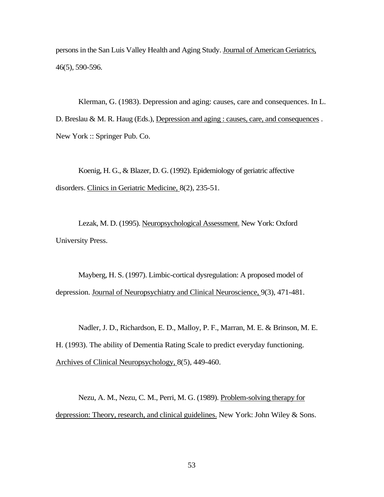persons in the San Luis Valley Health and Aging Study. Journal of American Geriatrics, 46(5), 590-596.

Klerman, G. (1983). Depression and aging: causes, care and consequences. In L. D. Breslau & M. R. Haug (Eds.), Depression and aging : causes, care, and consequences . New York :: Springer Pub. Co.

Koenig, H. G., & Blazer, D. G. (1992). Epidemiology of geriatric affective disorders. Clinics in Geriatric Medicine, 8(2), 235-51.

Lezak, M. D. (1995). Neuropsychological Assessment. New York: Oxford University Press.

Mayberg, H. S. (1997). Limbic-cortical dysregulation: A proposed model of depression. Journal of Neuropsychiatry and Clinical Neuroscience, 9(3), 471-481.

Nadler, J. D., Richardson, E. D., Malloy, P. F., Marran, M. E. & Brinson, M. E. H. (1993). The ability of Dementia Rating Scale to predict everyday functioning. Archives of Clinical Neuropsychology, 8(5), 449-460.

Nezu, A. M., Nezu, C. M., Perri, M. G. (1989). Problem-solving therapy for depression: Theory, research, and clinical guidelines. New York: John Wiley & Sons.